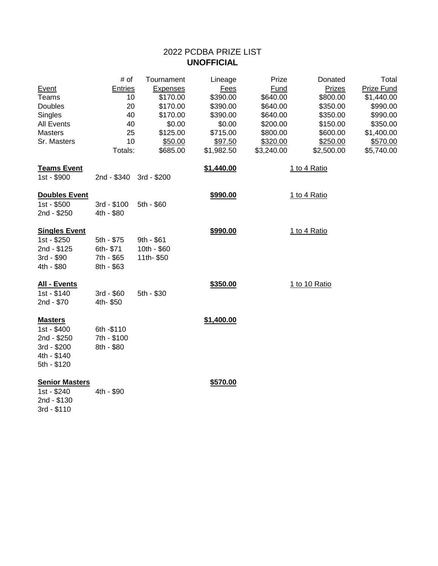# 2022 PCDBA PRIZE LIST **UNOFFICIAL**

| Event<br><b>Teams</b><br>Doubles<br>Singles<br><b>All Events</b><br><b>Masters</b><br>Sr. Masters | # of<br><b>Entries</b><br>10<br>20<br>40<br>40<br>25<br>10<br>Totals: | Tournament<br><b>Expenses</b><br>\$170.00<br>\$170.00<br>\$170.00<br>\$0.00<br>\$125.00<br>\$50.00<br>\$685.00 | Lineage<br>Fees<br>\$390.00<br>\$390.00<br>\$390.00<br>\$0.00<br>\$715.00<br>\$97.50<br>\$1,982.50 | Prize<br>Fund<br>\$640.00<br>\$640.00<br>\$640.00<br>\$200.00<br>\$800.00<br>\$320.00<br>\$3,240.00 | Donated<br>Prizes<br>\$800.00<br>\$350.00<br>\$350.00<br>\$150.00<br>\$600.00<br>\$250.00<br>\$2,500.00 | Total<br>Prize Fund<br>\$1,440.00<br>\$990.00<br>\$990.00<br>\$350.00<br>\$1,400.00<br>\$570.00<br>\$5,740.00 |
|---------------------------------------------------------------------------------------------------|-----------------------------------------------------------------------|----------------------------------------------------------------------------------------------------------------|----------------------------------------------------------------------------------------------------|-----------------------------------------------------------------------------------------------------|---------------------------------------------------------------------------------------------------------|---------------------------------------------------------------------------------------------------------------|
| <b>Teams Event</b><br>1st - \$900                                                                 | 2nd - \$340                                                           | 3rd - \$200                                                                                                    | \$1,440.00                                                                                         |                                                                                                     | 1 to 4 Ratio                                                                                            |                                                                                                               |
| <b>Doubles Event</b><br>1st - \$500<br>2nd - \$250                                                | 3rd - \$100<br>4th - \$80                                             | 5th - \$60                                                                                                     | \$990.00                                                                                           |                                                                                                     | 1 to 4 Ratio                                                                                            |                                                                                                               |
| <b>Singles Event</b><br>1st - \$250<br>2nd - \$125<br>3rd - \$90<br>4th - \$80                    | 5th - \$75<br>6th-\$71<br>7th - \$65<br>8th - \$63                    | 9th - \$61<br>10th - \$60<br>11th-\$50                                                                         | \$990.00                                                                                           |                                                                                                     | 1 to 4 Ratio                                                                                            |                                                                                                               |
| All - Events<br>1st - \$140<br>2nd - \$70                                                         | 3rd - \$60<br>4th- \$50                                               | 5th - \$30                                                                                                     | \$350.00                                                                                           |                                                                                                     | 1 to 10 Ratio                                                                                           |                                                                                                               |
| <b>Masters</b><br>1st - \$400<br>2nd - \$250<br>3rd - \$200<br>4th - \$140<br>5th - \$120         | 6th - \$110<br>7th - \$100<br>8th - \$80                              |                                                                                                                | \$1,400.00                                                                                         |                                                                                                     |                                                                                                         |                                                                                                               |
| <b>Senior Masters</b><br>1st - \$240<br>2nd - \$130<br>3rd - \$110                                | 4th - \$90                                                            |                                                                                                                | \$570.00                                                                                           |                                                                                                     |                                                                                                         |                                                                                                               |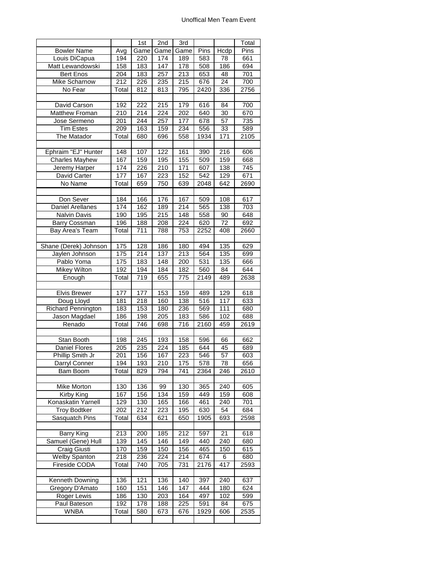#### Unoffical Men Team Event

|                           |                  | 1st  | 2nd  | $\overline{3}$ rd |      |                  | Total             |
|---------------------------|------------------|------|------|-------------------|------|------------------|-------------------|
| <b>Bowler Name</b>        | Avg              | Game | Game | Game              | Pins | Hcdp             | Pins              |
| Louis DiCapua             | 194              | 220  | 174  | 189               | 583  | 78               | 661               |
| Matt Lewandowski          | 158              | 183  | 147  | 178               | 508  | 186              | 694               |
| <b>Bert Enos</b>          | 204              | 183  | 257  | 213               | 653  | 48               | 701               |
| <b>Mike Scharnow</b>      | 212              | 226  | 235  | 215               | 676  | 24               | 700               |
| No Fear                   | Total            | 812  | 813  | 795               | 2420 | 336              | 2756              |
|                           |                  |      |      |                   |      |                  |                   |
| David Carson              | 192              | 222  | 215  | 179               | 616  | $\overline{84}$  | 700               |
| Matthew Froman            | 210              | 214  | 224  | 202               | 640  | 30               | 670               |
|                           | $\overline{201}$ | 244  |      | 177               |      |                  |                   |
| Jose Sermeno              | 209              |      | 257  |                   | 678  | 57               | 735               |
| <b>Tim Estes</b>          |                  | 163  | 159  | 234               | 556  | 33               | 589               |
| The Matador               | Total            | 680  | 696  | 558               | 1934 | 171              | 2105              |
|                           |                  |      |      |                   |      |                  |                   |
| Ephraim "EJ" Hunter       | 148              | 107  | 122  | 161               | 390  | 216              | 606               |
| <b>Charles Mayhew</b>     | 167              | 159  | 195  | 155               | 509  | 159              | 668               |
| Jeremy Harper             | 174              | 226  | 210  | 171               | 607  | 138              | 745               |
| David Carter              | 177              | 167  | 223  | 152               | 542  | 129              | 671               |
| No Name                   | Total            | 659  | 750  | 639               | 2048 | 642              | 2690              |
|                           |                  |      |      |                   |      |                  |                   |
| Don Sever                 | 184              | 166  | 176  | 167               | 509  | $\overline{108}$ | $\overline{617}$  |
| <b>Daniel Arellanes</b>   | 174              | 162  | 189  | 214               | 565  | 138              | 703               |
| <b>Nalvin Davis</b>       | 190              | 195  | 215  | 148               | 558  | 90               | 648               |
| Barry Cossman             | 196              | 188  | 208  | 224               | 620  | 72               | 692               |
| <b>Bay Area's Team</b>    | Total            | 711  | 788  | 753               | 2252 | 408              | 2660              |
|                           |                  |      |      |                   |      |                  |                   |
| Shane (Derek) Johnson     | 175              | 128  | 186  | 180               | 494  | $\frac{135}{2}$  | 629               |
| Jaylen Johnson            | 175              | 214  | 137  | 213               | 564  | 135              | 699               |
| Pablo Yoma                | 175              | 183  | 148  | 200               | 531  | 135              | 666               |
| <b>Mikey Wilton</b>       | 192              | 194  | 184  | 182               | 560  | 84               | 644               |
| Enough                    | Total            | 719  | 655  | 775               | 2149 | 489              | 2638              |
|                           |                  |      |      |                   |      |                  |                   |
| <b>Elvis Brewer</b>       | 177              | 177  | 153  | 159               | 489  | 129              | 618               |
| Doug Lloyd                | 181              | 218  | 160  | 138               | 516  | 117              | 633               |
| <b>Richard Pennington</b> | 183              | 153  | 180  | 236               | 569  | 111              | 680               |
| Jason Magdael             | 186              | 198  | 205  | 183               | 586  | 102              | 688               |
| Renado                    | Total            | 746  | 698  | 716               | 2160 | 459              | 2619              |
|                           |                  |      |      |                   |      |                  |                   |
| Stan Booth                | 198              | 245  | 193  | 158               | 596  | 66               | 662               |
| <b>Daniel Flores</b>      | 205              | 235  | 224  | 185               | 644  | 45               | 689               |
| Phillip Smith Jr          | 201              | 156  | 167  | $\overline{223}$  | 546  | $\overline{57}$  | 603               |
|                           |                  |      |      |                   |      |                  |                   |
| Darryl Conner             | 194              | 193  | 210  | 175<br>741        | 578  | 78               | 656               |
| Bam Boom                  | Total            | 829  | 794  |                   | 2364 | 246              | $\overline{2}610$ |
|                           |                  |      |      |                   |      |                  |                   |
| Mike Morton               | 130              | 136  | 99   | 130               | 365  | 240              | 605               |
| Kirby King                | 167              | 156  | 134  | 159               | 449  | 159              | 608               |
| Konaskatin Yarnell        | 129              | 130  | 165  | 166               | 461  | 240              | 701               |
| <b>Troy Bodtker</b>       | 202              | 212  | 223  | 195               | 630  | 54               | 684               |
| <b>Sasquatch Pins</b>     | Total            | 634  | 621  | 650               | 1905 | 693              | 2598              |
|                           |                  |      |      |                   |      |                  |                   |
| <b>Barry King</b>         | 213              | 200  | 185  | 212               | 597  | 21               | 618               |
| Samuel (Gene) Hull        | 139              | 145  | 146  | 149               | 440  | 240              | 680               |
| Craig Giusti              | 170              | 159  | 150  | 156               | 465  | 150              | 615               |
| <b>Welby Spanton</b>      | 218              | 236  | 224  | 214               | 674  | 6                | 680               |
| Fireside CODA             | Total            | 740  | 705  | 731               | 2176 | 417              | 2593              |
|                           |                  |      |      |                   |      |                  |                   |
| Kenneth Downing           | 136              | 121  | 136  | 140               | 397  | 240              | 637               |
| Gregory D'Amato           | 160              | 151  | 146  | 147               | 444  | 180              | 624               |
| Roger Lewis               | 186              | 130  | 203  | 164               | 497  | 102              | 599               |
| Paul Bateson              | 192              | 178  | 188  | 225               | 591  | 84               | 675               |
| <b>WNBA</b>               | Total            | 580  | 673  | 676               | 1929 | 606              | 2535              |
|                           |                  |      |      |                   |      |                  |                   |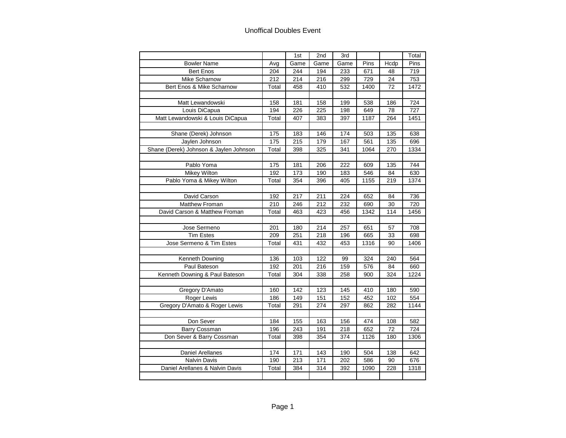## Unoffical Doubles Event

|                                        |       | 1st  | 2nd             | 3rd  |      |      | Total |
|----------------------------------------|-------|------|-----------------|------|------|------|-------|
| <b>Bowler Name</b>                     | Avg   | Game | Game            | Game | Pins | Hcdp | Pins  |
| <b>Bert Enos</b>                       | 204   | 244  | 194             | 233  | 671  | 48   | 719   |
| Mike Scharnow                          | 212   | 214  | 216             | 299  | 729  | 24   | 753   |
| Bert Enos & Mike Scharnow              | Total | 458  | 410             | 532  | 1400 | 72   | 1472  |
|                                        |       |      |                 |      |      |      |       |
| Matt Lewandowski                       | 158   | 181  | 158             | 199  | 538  | 186  | 724   |
| Louis DiCapua                          | 194   | 226  | 225             | 198  | 649  | 78   | 727   |
| Matt Lewandowski & Louis DiCapua       | Total | 407  | 383             | 397  | 1187 | 264  | 1451  |
|                                        |       |      |                 |      |      |      |       |
| Shane (Derek) Johnson                  | 175   | 183  | 146             | 174  | 503  | 135  | 638   |
| Jaylen Johnson                         | 175   | 215  | 179             | 167  | 561  | 135  | 696   |
| Shane (Derek) Johnson & Jaylen Johnson | Total | 398  | 325             | 341  | 1064 | 270  | 1334  |
|                                        |       |      |                 |      |      |      |       |
| Pablo Yoma                             | 175   | 181  | 206             | 222  | 609  | 135  | 744   |
| <b>Mikey Wilton</b>                    | 192   | 173  | 190             | 183  | 546  | 84   | 630   |
| Pablo Yoma & Mikey Wilton              | Total | 354  | 396             | 405  | 1155 | 219  | 1374  |
|                                        |       |      |                 |      |      |      |       |
| David Carson                           | 192   | 217  | 211             | 224  | 652  | 84   | 736   |
| Matthew Froman                         | 210   | 246  | 212             | 232  | 690  | 30   | 720   |
| David Carson & Matthew Froman          | Total | 463  | 423             | 456  | 1342 | 114  | 1456  |
|                                        |       |      |                 |      |      |      |       |
| Jose Sermeno                           | 201   | 180  | 214             | 257  | 651  | 57   | 708   |
| <b>Tim Estes</b>                       | 209   | 251  | 218             | 196  | 665  | 33   | 698   |
| Jose Sermeno & Tim Estes               | Total | 431  | 432             | 453  | 1316 | 90   | 1406  |
|                                        |       |      |                 |      |      |      |       |
| Kenneth Downing                        | 136   | 103  | 122             | 99   | 324  | 240  | 564   |
| Paul Bateson                           | 192   | 201  | 216             | 159  | 576  | 84   | 660   |
| Kenneth Downing & Paul Bateson         | Total | 304  | 338             | 258  | 900  | 324  | 1224  |
|                                        |       |      |                 |      |      |      |       |
| Gregory D'Amato                        | 160   | 142  | 123             | 145  | 410  | 180  | 590   |
| Roger Lewis                            | 186   | 149  | 151             | 152  | 452  | 102  | 554   |
| Gregory D'Amato & Roger Lewis          | Total | 291  | 274             | 297  | 862  | 282  | 1144  |
|                                        |       |      |                 |      |      |      |       |
| Don Sever                              | 184   | 155  | 163             | 156  | 474  | 108  | 582   |
| Barry Cossman                          | 196   | 243  | 191             | 218  | 652  | 72   | 724   |
| Don Sever & Barry Cossman              | Total | 398  | 354             | 374  | 1126 | 180  | 1306  |
|                                        |       |      |                 |      |      |      |       |
| <b>Daniel Arellanes</b>                | 174   | 171  | $\frac{1}{143}$ | 190  | 504  | 138  | 642   |
| Nalvin Davis                           | 190   | 213  | 171             | 202  | 586  | 90   | 676   |
| Daniel Arellanes & Nalvin Davis        | Total | 384  | 314             | 392  | 1090 | 228  | 1318  |
|                                        |       |      |                 |      |      |      |       |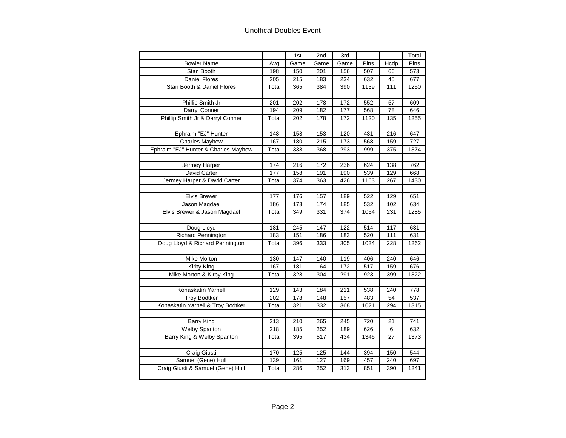## Unoffical Doubles Event

|                                      |       | 1st             | 2nd  | 3rd  |      |      | Total |
|--------------------------------------|-------|-----------------|------|------|------|------|-------|
| <b>Bowler Name</b>                   | Avg   | Game            | Game | Game | Pins | Hcdp | Pins  |
| Stan Booth                           | 198   | 150             | 201  | 156  | 507  | 66   | 573   |
| Daniel Flores                        | 205   | 215             | 183  | 234  | 632  | 45   | 677   |
| Stan Booth & Daniel Flores           | Total | 365             | 384  | 390  | 1139 | 111  | 1250  |
|                                      |       |                 |      |      |      |      |       |
| Phillip Smith Jr                     | 201   | 202             | 178  | 172  | 552  | 57   | 609   |
| Darryl Conner                        | 194   | 209             | 182  | 177  | 568  | 78   | 646   |
| Phillip Smith Jr & Darryl Conner     | Total | 202             | 178  | 172  | 1120 | 135  | 1255  |
|                                      |       |                 |      |      |      |      |       |
| Ephraim "EJ" Hunter                  | 148   | 158             | 153  | 120  | 431  | 216  | 647   |
| <b>Charles Mayhew</b>                | 167   | 180             | 215  | 173  | 568  | 159  | 727   |
| Ephraim "EJ" Hunter & Charles Mayhew | Total | 338             | 368  | 293  | 999  | 375  | 1374  |
|                                      |       |                 |      |      |      |      |       |
| Jermey Harper                        | 174   | 216             | 172  | 236  | 624  | 138  | 762   |
| David Carter                         | 177   | 158             | 191  | 190  | 539  | 129  | 668   |
| Jermey Harper & David Carter         | Total | 374             | 363  | 426  | 1163 | 267  | 1430  |
|                                      |       |                 |      |      |      |      |       |
| Elvis Brewer                         | 177   | 176             | 157  | 189  | 522  | 129  | 651   |
| Jason Magdael                        | 186   | $\frac{1}{173}$ | 174  | 185  | 532  | 102  | 634   |
| Elvis Brewer & Jason Magdael         | Total | 349             | 331  | 374  | 1054 | 231  | 1285  |
|                                      |       |                 |      |      |      |      |       |
| Doug Lloyd                           | 181   | 245             | 147  | 122  | 514  | 117  | 631   |
| <b>Richard Pennington</b>            | 183   | 151             | 186  | 183  | 520  | 111  | 631   |
| Doug Lloyd & Richard Pennington      | Total | 396             | 333  | 305  | 1034 | 228  | 1262  |
|                                      |       |                 |      |      |      |      |       |
| Mike Morton                          | 130   | 147             | 140  | 119  | 406  | 240  | 646   |
| Kirby King                           | 167   | 181             | 164  | 172  | 517  | 159  | 676   |
| Mike Morton & Kirby King             | Total | 328             | 304  | 291  | 923  | 399  | 1322  |
|                                      |       |                 |      |      |      |      |       |
| Konaskatin Yarnell                   | 129   | 143             | 184  | 211  | 538  | 240  | 778   |
| <b>Troy Bodtker</b>                  | 202   | 178             | 148  | 157  | 483  | 54   | 537   |
| Konaskatin Yarnell & Troy Bodtker    | Total | 321             | 332  | 368  | 1021 | 294  | 1315  |
|                                      |       |                 |      |      |      |      |       |
| <b>Barry King</b>                    | 213   | 210             | 265  | 245  | 720  | 21   | 741   |
| <b>Welby Spanton</b>                 | 218   | 185             | 252  | 189  | 626  | 6    | 632   |
| Barry King & Welby Spanton           | Total | 395             | 517  | 434  | 1346 | 27   | 1373  |
|                                      |       |                 |      |      |      |      |       |
| Craig Giusti                         | 170   | 125             | 125  | 144  | 394  | 150  | 544   |
| Samuel (Gene) Hull                   | 139   | 161             | 127  | 169  | 457  | 240  | 697   |
| Craig Giusti & Samuel (Gene) Hull    | Total | 286             | 252  | 313  | 851  | 390  | 1241  |
|                                      |       |                 |      |      |      |      |       |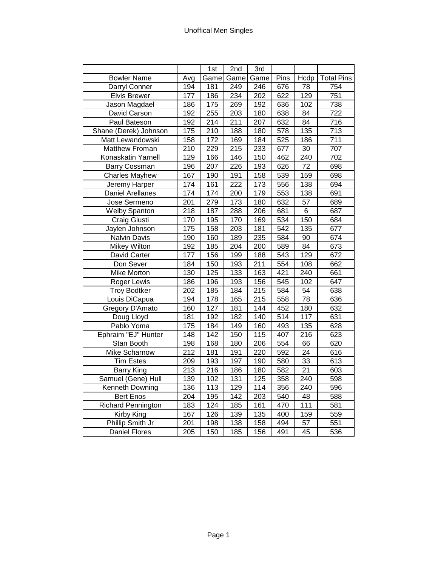|                           |                  | 1st              | 2nd              | 3rd              |                  |                  |                   |
|---------------------------|------------------|------------------|------------------|------------------|------------------|------------------|-------------------|
| <b>Bowler Name</b>        | Avg              | Game             | Game             | Game             | Pins             | Hcdp             | <b>Total Pins</b> |
| Darryl Conner             | 194              | 181              | 249              | 246              | 676              | $\overline{78}$  | 754               |
| <b>Elvis Brewer</b>       | 177              | 186              | 234              | $\overline{202}$ | 622              | 129              | 751               |
| Jason Magdael             | 186              | 175              | 269              | 192              | 636              | 102              | 738               |
| David Carson              | 192              | 255              | 203              | 180              | 638              | 84               | $\overline{722}$  |
| Paul Bateson              | 192              | $\overline{214}$ | $\overline{211}$ | 207              | 632              | $\overline{84}$  | $\overline{716}$  |
| Shane (Derek) Johnson     | 175              | $\overline{210}$ | 188              | 180              | $\overline{578}$ | 135              | $\overline{713}$  |
| Matt Lewandowski          | 158              | 172              | 169              | 184              | 525              | 186              | 711               |
| Matthew Froman            | $\overline{210}$ | 229              | 215              | 233              | 677              | 30               | 707               |
| Konaskatin Yarnell        | 129              | 166              | 146              | 150              | 462              | 240              | 702               |
| <b>Barry Cossman</b>      | 196              | 207              | 226              | 193              | 626              | $\overline{72}$  | 698               |
| <b>Charles Mayhew</b>     | 167              | 190              | 191              | 158              | 539              | 159              | 698               |
| Jeremy Harper             | 174              | 161              | 222              | 173              | 556              | 138              | 694               |
| <b>Daniel Arellanes</b>   | 174              | 174              | 200              | 179              | 553              | 138              | 691               |
| Jose Sermeno              | 201              | 279              | 173              | 180              | 632              | 57               | 689               |
| <b>Welby Spanton</b>      | $\frac{1}{218}$  | 187              | 288              | 206              | 681              | $\overline{6}$   | 687               |
| Craig Giusti              | 170              | 195              | 170              | 169              | 534              | 150              | 684               |
| Jaylen Johnson            | 175              | 158              | 203              | 181              | 542              | 135              | 677               |
| <b>Nalvin Davis</b>       | 190              | $\overline{160}$ | 189              | 235              | 584              | 90               | 674               |
| Mikey Wilton              | 192              | 185              | $\frac{1}{204}$  | 200              | 589              | $\overline{84}$  | 673               |
| <b>David Carter</b>       | $\overline{177}$ | 156              | 199              | 188              | 543              | 129              | 672               |
| Don Sever                 | 184              | 150              | 193              | 211              | 554              | 108              | 662               |
| Mike Morton               | 130              | 125              | 133              | 163              | 421              | $\overline{240}$ | 661               |
| Roger Lewis               | 186              | 196              | 193              | 156              | $\overline{545}$ | 102              | 647               |
| <b>Troy Bodtker</b>       | 202              | 185              | 184              | $\overline{215}$ | 584              | 54               | 638               |
| Louis DiCapua             | 194              | 178              | 165              | $\overline{215}$ | 558              | $\overline{78}$  | 636               |
| Gregory D'Amato           | 160              | 127              | 181              | 144              | 452              | 180              | 632               |
| Doug Lloyd                | 181              | 192              | 182              | 140              | 514              | 117              | 631               |
| Pablo Yoma                | 175              | 184              | 149              | 160              | 493              | 135              | 628               |
| Ephraim "EJ" Hunter       | $\overline{148}$ | $\overline{142}$ | 150              | 115              | 407              | $\overline{216}$ | 623               |
| Stan Booth                | 198              | 168              | 180              | 206              | $\overline{554}$ | 66               | 620               |
| Mike Scharnow             | $\overline{212}$ | 181              | 191              | 220              | 592              | $\overline{24}$  | 616               |
| <b>Tim Estes</b>          | 209              | $\overline{193}$ | 197              | 190              | 580              | 33               | 613               |
| Barry King                | $\overline{213}$ | $\overline{216}$ | 186              | 180              | 582              | $\overline{21}$  | 603               |
| Samuel (Gene) Hull        | 139              | 102              | 131              | 125              | 358              | 240              | 598               |
| Kenneth Downing           | 136              | 113              | 129              | 114              | 356              | 240              | 596               |
| <b>Bert Enos</b>          | 204              | 195              | 142              | 203              | 540              | 48               | 588               |
| <b>Richard Pennington</b> | 183              | 124              | 185              | 161              | 470              | 111              | 581               |
| Kirby King                | 167              | 126              | 139              | 135              | 400              | 159              | 559               |
| Phillip Smith Jr          | 201              | 198              | 138              | 158              | 494              | 57               | 551               |
| <b>Daniel Flores</b>      | 205              | 150              | 185              | 156              | 491              | 45               | 536               |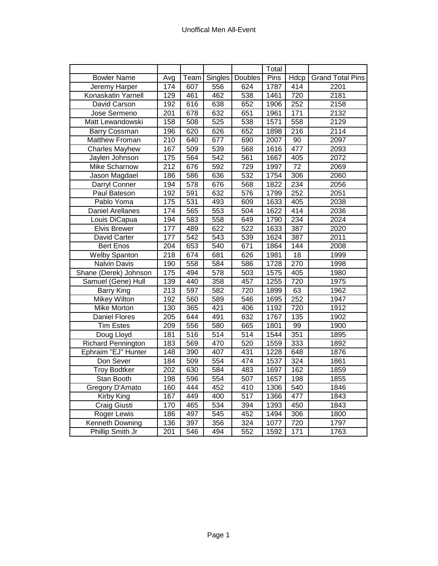|                           |                  |                  |                  |                  | Total |                  |                         |
|---------------------------|------------------|------------------|------------------|------------------|-------|------------------|-------------------------|
| <b>Bowler Name</b>        | Avg              | <b>Team</b>      | Singles          | Doubles          | Pins  | Hdcp             | <b>Grand Total Pins</b> |
| Jeremy Harper             | 174              | 607              | 556              | 624              | 1787  | 414              | 2201                    |
| Konaskatin Yarnell        | 129              | 461              | 462              | 538              | 1461  | 720              | 2181                    |
| David Carson              | 192              | 616              | 638              | 652              | 1906  | 252              | 2158                    |
| Jose Sermeno              | $\overline{201}$ | 678              | 632              | 651              | 1961  | 171              | 2132                    |
| Matt Lewandowski          | 158              | 508              | 525              | 538              | 1571  | 558              | 2129                    |
| Barry Cossman             | 196              | 620              | 626              | 652              | 1898  | $\overline{216}$ | 2114                    |
| Matthew Froman            | $\overline{210}$ | 640              | 677              | 690              | 2007  | 90               | 2097                    |
| <b>Charles Mayhew</b>     | 167              | 509              | 539              | 568              | 1616  | 477              | 2093                    |
| Jaylen Johnson            | 175              | 564              | $\overline{542}$ | 561              | 1667  | 405              | 2072                    |
| Mike Scharnow             | 212              | 676              | 592              | 729              | 1997  | 72               | 2069                    |
| Jason Magdael             | 186              | 586              | 636              | 532              | 1754  | 306              | 2060                    |
| Darryl Conner             | 194              | $\overline{578}$ | 676              | 568              | 1822  | 234              | 2056                    |
| Paul Bateson              | 192              | 591              | 632              | 576              | 1799  | 252              | 2051                    |
| Pablo Yoma                | 175              | $\overline{531}$ | 493              | 609              | 1633  | 405              | 2038                    |
| <b>Daniel Arellanes</b>   | 174              | 565              | 553              | 504              | 1622  | 414              | 2036                    |
| Louis DiCapua             | 194              | 583              | 558              | 649              | 1790  | 234              | 2024                    |
| <b>Elvis Brewer</b>       | 177              | 489              | 622              | 522              | 1633  | 387              | 2020                    |
| <b>David Carter</b>       | 177              | 542              | 543              | 539              | 1624  | 387              | 2011                    |
| <b>Bert Enos</b>          | 204              | 653              | 540              | 671              | 1864  | 144              | 2008                    |
| <b>Welby Spanton</b>      | $\overline{218}$ | 674              | 681              | 626              | 1981  | 18               | 1999                    |
| Nalvin Davis              | 190              | 558              | 584              | 586              | 1728  | 270              | 1998                    |
| Shane (Derek) Johnson     | 175              | 494              | 578              | 503              | 1575  | 405              | 1980                    |
| Samuel (Gene) Hull        | 139              | 440              | 358              | 457              | 1255  | 720              | 1975                    |
| <b>Barry King</b>         | $\overline{213}$ | 597              | 582              | 720              | 1899  | 63               | 1962                    |
| Mikey Wilton              | 192              | 560              | 589              | 546              | 1695  | 252              | 1947                    |
| Mike Morton               | 130              | 365              | 421              | 406              | 1192  | 720              | $\frac{1}{1912}$        |
| <b>Daniel Flores</b>      | $\frac{1}{205}$  | 644              | 491              | 632              | 1767  | 135              | 1902                    |
| <b>Tim Estes</b>          | 209              | 556              | 580              | 665              | 1801  | 99               | 1900                    |
| Doug Lloyd                | 181              | 516              | $\overline{514}$ | $\overline{514}$ | 1544  | 351              | 1895                    |
| <b>Richard Pennington</b> | 183              | 569              | 470              | 520              | 1559  | 333              | 1892                    |
| Ephraim "EJ" Hunter       | 148              | 390              | 407              | 431              | 1228  | 648              | 1876                    |
| Don Sever                 | 184              | 509              | 554              | 474              | 1537  | 324              | 1861                    |
| <b>Troy Bodtker</b>       | 202              | 630              | 584              | 483              | 1697  | 162              | 1859                    |
| Stan Booth                | 198              | $\overline{596}$ | 554              | 507              | 1657  | 198              | 1855                    |
| Gregory D'Amato           | 160              | 444              | 452              | 410              | 1306  | 540              | 1846                    |
| <b>Kirby King</b>         | 167              | 449              | 400              | 517              | 1366  | 477              | 1843                    |
| Craig Giusti              | 170              | 465              | 534              | 394              | 1393  | 450              | 1843                    |
| Roger Lewis               | 186              | 497              | 545              | 452              | 1494  | 306              | 1800                    |
| Kenneth Downing           | 136              | 397              | 356              | 324              | 1077  | 720              | 1797                    |
| Phillip Smith Jr          | $\overline{201}$ | 546              | 494              | 552              | 1592  | 171              | 1763                    |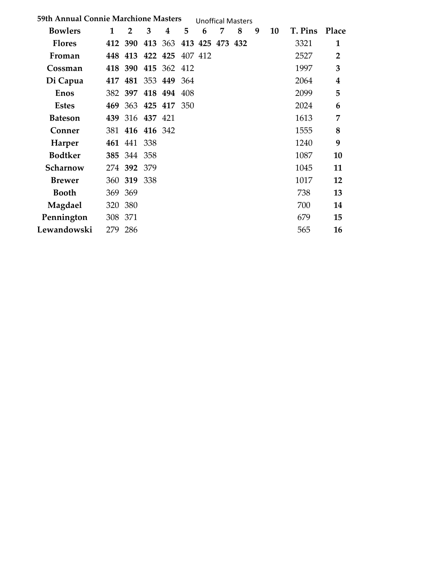| <b>59th Annual Connie Marchione Masters</b> |              |                 |     |                                 |     |   |   | <b>Unoffical Masters</b> |   |    |         |                         |
|---------------------------------------------|--------------|-----------------|-----|---------------------------------|-----|---|---|--------------------------|---|----|---------|-------------------------|
| <b>Bowlers</b>                              | $\mathbf{1}$ | $\overline{2}$  | 3   | 4                               | 5   | 6 | 7 | 8                        | 9 | 10 | T. Pins | Place                   |
| <b>Flores</b>                               |              |                 |     | 412 390 413 363 413 425 473 432 |     |   |   |                          |   |    | 3321    | $\mathbf{1}$            |
| Froman                                      |              |                 |     | 448 413 422 425 407 412         |     |   |   |                          |   |    | 2527    | $\overline{2}$          |
| Cossman                                     |              |                 |     | 418 390 415 362 412             |     |   |   |                          |   |    | 1997    | 3                       |
| Di Capua                                    |              |                 |     | 417 481 353 449 364             |     |   |   |                          |   |    | 2064    | $\overline{\mathbf{4}}$ |
| <b>Enos</b>                                 |              | 382 397         |     | 418 494                         | 408 |   |   |                          |   |    | 2099    | 5                       |
| <b>Estes</b>                                |              |                 |     | 469 363 425 417 350             |     |   |   |                          |   |    | 2024    | 6                       |
| <b>Bateson</b>                              |              | 439 316 437 421 |     |                                 |     |   |   |                          |   |    | 1613    | 7                       |
| Conner                                      |              | 381 416 416 342 |     |                                 |     |   |   |                          |   |    | 1555    | 8                       |
| <b>Harper</b>                               |              | 461 441 338     |     |                                 |     |   |   |                          |   |    | 1240    | 9                       |
| <b>Bodtker</b>                              |              | 385 344 358     |     |                                 |     |   |   |                          |   |    | 1087    | 10                      |
| Scharnow                                    |              | 274 392 379     |     |                                 |     |   |   |                          |   |    | 1045    | 11                      |
| <b>Brewer</b>                               |              | 360 319         | 338 |                                 |     |   |   |                          |   |    | 1017    | 12                      |
| <b>Booth</b>                                |              | 369 369         |     |                                 |     |   |   |                          |   |    | 738     | 13                      |
| Magdael                                     | 320          | 380             |     |                                 |     |   |   |                          |   |    | 700     | 14                      |
| Pennington                                  | 308 371      |                 |     |                                 |     |   |   |                          |   |    | 679     | 15                      |
| Lewandowski                                 | 279 286      |                 |     |                                 |     |   |   |                          |   |    | 565     | 16                      |